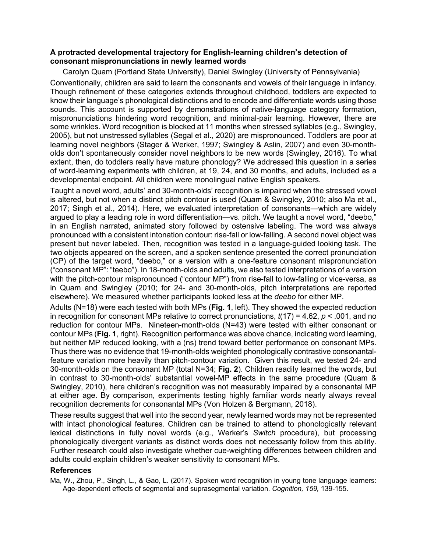## **A protracted developmental trajectory for English-learning children's detection of consonant mispronunciations in newly learned words**

Carolyn Quam (Portland State University), Daniel Swingley (University of Pennsylvania)

Conventionally, children are said to learn the consonants and vowels of their language in infancy. Though refinement of these categories extends throughout childhood, toddlers are expected to know their language's phonological distinctions and to encode and differentiate words using those sounds. This account is supported by demonstrations of native-language category formation, mispronunciations hindering word recognition, and minimal-pair learning. However, there are some wrinkles. Word recognition is blocked at 11 months when stressed syllables (e.g., Swingley, 2005), but not unstressed syllables (Segal et al., 2020) are mispronounced. Toddlers are poor at learning novel neighbors (Stager & Werker, 1997; Swingley & Aslin, 2007) and even 30-montholds don't spontaneously consider novel neighbors to be new words (Swingley, 2016). To what extent, then, do toddlers really have mature phonology? We addressed this question in a series of word-learning experiments with children, at 19, 24, and 30 months, and adults, included as a developmental endpoint. All children were monolingual native English speakers.

Taught a novel word, adults' and 30-month-olds' recognition is impaired when the stressed vowel is altered, but not when a distinct pitch contour is used (Quam & Swingley, 2010; also Ma et al., 2017; Singh et al., 2014). Here, we evaluated interpretation of consonants—which are widely argued to play a leading role in word differentiation—vs. pitch. We taught a novel word, "deebo," in an English narrated, animated story followed by ostensive labeling. The word was always pronounced with a consistent intonation contour: rise-fall or low-falling. A second novel object was present but never labeled. Then, recognition was tested in a language-guided looking task. The two objects appeared on the screen, and a spoken sentence presented the correct pronunciation (CP) of the target word, "deebo," or a version with a one-feature consonant mispronunciation ("consonant MP": "teebo"). In 18-month-olds and adults, we also tested interpretations of a version with the pitch-contour mispronounced ("contour MP") from rise-fall to low-falling or vice-versa, as in Quam and Swingley (2010; for 24- and 30-month-olds, pitch interpretations are reported elsewhere). We measured whether participants looked less at the *deebo* for either MP.

Adults (N=18) were each tested with both MPs (**Fig. 1**, left). They showed the expected reduction in recognition for consonant MPs relative to correct pronunciations, *t*(17) = 4.62, *p* < .001, and no reduction for contour MPs. Nineteen-month-olds (N=43) were tested with either consonant or contour MPs (**Fig. 1**, right). Recognition performance was above chance, indicating word learning, but neither MP reduced looking, with a (ns) trend toward better performance on consonant MPs. Thus there was no evidence that 19-month-olds weighted phonologically contrastive consonantalfeature variation more heavily than pitch-contour variation. Given this result, we tested 24- and 30-month-olds on the consonant MP (total N=34; **Fig. 2**). Children readily learned the words, but in contrast to 30-month-olds' substantial vowel-MP effects in the same procedure (Quam & Swingley, 2010), here children's recognition was not measurably impaired by a consonantal MP at either age. By comparison, experiments testing highly familiar words nearly always reveal recognition decrements for consonantal MPs (Von Holzen & Bergmann, 2018).

These results suggest that well into the second year, newly learned words may not be represented with intact phonological features. Children can be trained to attend to phonologically relevant lexical distinctions in fully novel words (e.g., Werker's *Switch* procedure), but processing phonologically divergent variants as distinct words does not necessarily follow from this ability. Further research could also investigate whether cue-weighting differences between children and adults could explain children's weaker sensitivity to consonant MPs.

## **References**

Ma, W., Zhou, P., Singh, L., & Gao, L. (2017). Spoken word recognition in young tone language learners: Age-dependent effects of segmental and suprasegmental variation. *Cognition, 159,* 139-155.